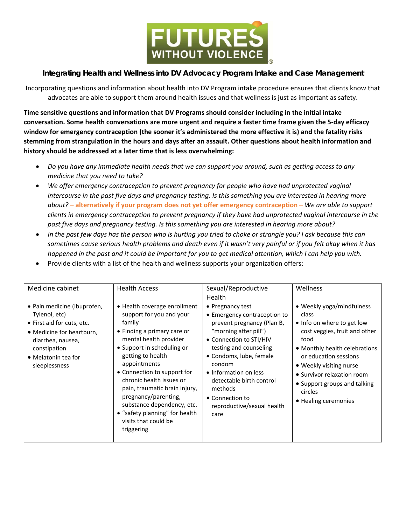

## **Integrating Health and Wellness into DV Advocacy Program Intake and Case Management**

Incorporating questions and information about health into DV Program intake procedure ensures that clients know that advocates are able to support them around health issues and that wellness is just as important as safety.

**Time sensitive questions and information that DV Programs should consider including in the initial intake** conversation. Some health conversations are more urgent and require a faster time frame given the 5-day efficacy window for emergency contraception (the sooner it's administered the more effective it is) and the fatality risks stemming from strangulation in the hours and days after an assault. Other questions about health information and **history should be addressed at a later time that is less overwhelming:**

- Do you have any immediate health needs that we can support you around, such as getting access to any *medicine that you need to take?*
- *We offer emergency contraception to prevent pregnancy for people who have had unprotected vaginal* intercourse in the past five days and pregnancy testing. Is this something you are interested in hearing more about? – alternatively if your program does not yet offer emergency contraception – We are able to support *clients in emergency contraception to prevent pregnancy if they have had unprotected vaginal intercourse in the past five days and pregnancy testing. Is this something you are interested in hearing more about?*
- In the past few days has the person who is hurting you tried to choke or strangle you? I ask because this can sometimes cause serious health problems and death even if it wasn't very painful or if you felt okay when it has happened in the past and it could be important for you to get medical attention, which I can help you with.
- Provide clients with a list of the health and wellness supports your organization offers:

| Medicine cabinet                                                                                                                                                                     | <b>Health Access</b>                                                                                                                                                                                                                                                                                                                                                                                                     | Sexual/Reproductive<br>Health                                                                                                                                                                                                                                                                                              | Wellness                                                                                                                                                                                                                                                                                        |
|--------------------------------------------------------------------------------------------------------------------------------------------------------------------------------------|--------------------------------------------------------------------------------------------------------------------------------------------------------------------------------------------------------------------------------------------------------------------------------------------------------------------------------------------------------------------------------------------------------------------------|----------------------------------------------------------------------------------------------------------------------------------------------------------------------------------------------------------------------------------------------------------------------------------------------------------------------------|-------------------------------------------------------------------------------------------------------------------------------------------------------------------------------------------------------------------------------------------------------------------------------------------------|
| • Pain medicine (Ibuprofen,<br>Tylenol, etc)<br>• First aid for cuts, etc.<br>• Medicine for heartburn,<br>diarrhea, nausea,<br>constipation<br>• Melatonin tea for<br>sleeplessness | • Health coverage enrollment<br>support for you and your<br>family<br>• Finding a primary care or<br>mental health provider<br>• Support in scheduling or<br>getting to health<br>appointments<br>• Connection to support for<br>chronic health issues or<br>pain, traumatic brain injury,<br>pregnancy/parenting,<br>substance dependency, etc.<br>• "safety planning" for health<br>visits that could be<br>triggering | • Pregnancy test<br>• Emergency contraception to<br>prevent pregnancy (Plan B,<br>"morning after pill")<br>• Connection to STI/HIV<br>testing and counseling<br>• Condoms, lube, female<br>condom<br>• Information on less<br>detectable birth control<br>methods<br>• Connection to<br>reproductive/sexual health<br>care | • Weekly yoga/mindfulness<br>class<br>• Info on where to get low<br>cost veggies, fruit and other<br>food<br>• Monthly health celebrations<br>or education sessions<br>• Weekly visiting nurse<br>• Survivor relaxation room<br>• Support groups and talking<br>circles<br>• Healing ceremonies |